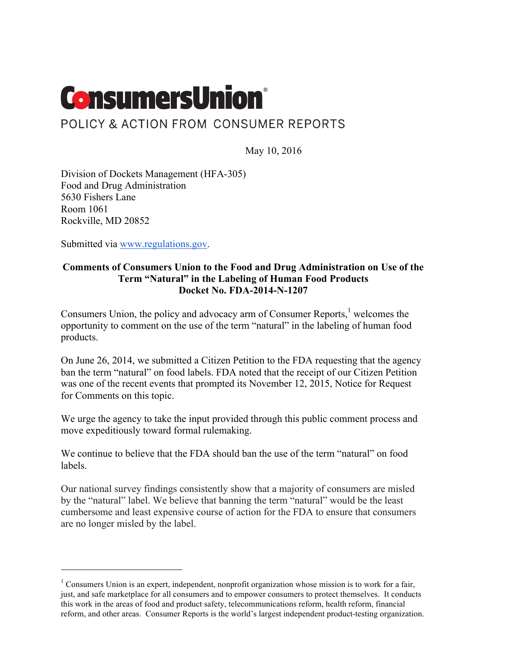

## POLICY & ACTION FROM CONSUMER REPORTS

May 10, 2016

Division of Dockets Management (HFA-305) Food and Drug Administration 5630 Fishers Lane Room 1061 Rockville, MD 20852

Submitted via www.regulations.gov.

 $\overline{a}$ 

#### **Comments of Consumers Union to the Food and Drug Administration on Use of the Term "Natural" in the Labeling of Human Food Products Docket No. FDA-2014-N-1207**

Consumers Union, the policy and advocacy arm of Consumer Reports, $<sup>1</sup>$  welcomes the</sup> opportunity to comment on the use of the term "natural" in the labeling of human food products.

On June 26, 2014, we submitted a Citizen Petition to the FDA requesting that the agency ban the term "natural" on food labels. FDA noted that the receipt of our Citizen Petition was one of the recent events that prompted its November 12, 2015, Notice for Request for Comments on this topic.

We urge the agency to take the input provided through this public comment process and move expeditiously toward formal rulemaking.

We continue to believe that the FDA should ban the use of the term "natural" on food labels.

Our national survey findings consistently show that a majority of consumers are misled by the "natural" label. We believe that banning the term "natural" would be the least cumbersome and least expensive course of action for the FDA to ensure that consumers are no longer misled by the label.

<sup>&</sup>lt;sup>1</sup> Consumers Union is an expert, independent, nonprofit organization whose mission is to work for a fair, just, and safe marketplace for all consumers and to empower consumers to protect themselves. It conducts this work in the areas of food and product safety, telecommunications reform, health reform, financial reform, and other areas. Consumer Reports is the world's largest independent product-testing organization.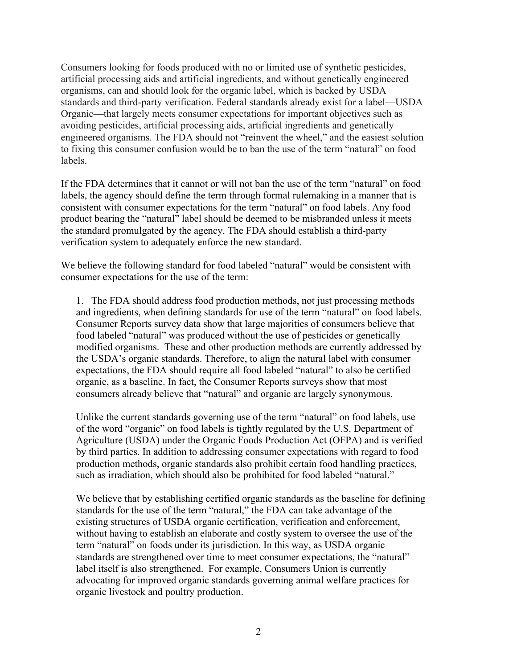Consumers looking for foods produced with no or limited use of synthetic pesticides, artificial processing aids and artificial ingredients, and without genetically engineered organisms, can and should look for the organic label, which is backed by USDA standards and third-party verification. Federal standards already exist for a label—USDA Organic—that largely meets consumer expectations for important objectives such as avoiding pesticides, artificial processing aids, artificial ingredients and genetically engineered organisms. The FDA should not "reinvent the wheel," and the easiest solution to fixing this consumer confusion would be to ban the use of the term "natural" on food labels.

If the FDA determines that it cannot or will not ban the use of the term "natural" on food labels, the agency should define the term through formal rulemaking in a manner that is consistent with consumer expectations for the term "natural" on food labels. Any food product bearing the "natural" label should be deemed to be misbranded unless it meets the standard promulgated by the agency. The FDA should establish a third-party verification system to adequately enforce the new standard.

We believe the following standard for food labeled "natural" would be consistent with consumer expectations for the use of the term:

1. The FDA should address food production methods, not just processing methods and ingredients, when defining standards for use of the term "natural" on food labels. Consumer Reports survey data show that large majorities of consumers believe that food labeled "natural" was produced without the use of pesticides or genetically modified organisms. These and other production methods are currently addressed by the USDA's organic standards. Therefore, to align the natural label with consumer expectations, the FDA should require all food labeled "natural" to also be certified organic, as a baseline. In fact, the Consumer Reports surveys show that most consumers already believe that "natural" and organic are largely synonymous.

Unlike the current standards governing use of the term "natural" on food labels, use of the word "organic" on food labels is tightly regulated by the U.S. Department of Agriculture (USDA) under the Organic Foods Production Act (OFPA) and is verified by third parties. In addition to addressing consumer expectations with regard to food production methods, organic standards also prohibit certain food handling practices, such as irradiation, which should also be prohibited for food labeled "natural."

We believe that by establishing certified organic standards as the baseline for defining standards for the use of the term "natural," the FDA can take advantage of the existing structures of USDA organic certification, verification and enforcement, without having to establish an elaborate and costly system to oversee the use of the term "natural" on foods under its jurisdiction. In this way, as USDA organic standards are strengthened over time to meet consumer expectations, the "natural" label itself is also strengthened. For example, Consumers Union is currently advocating for improved organic standards governing animal welfare practices for organic livestock and poultry production.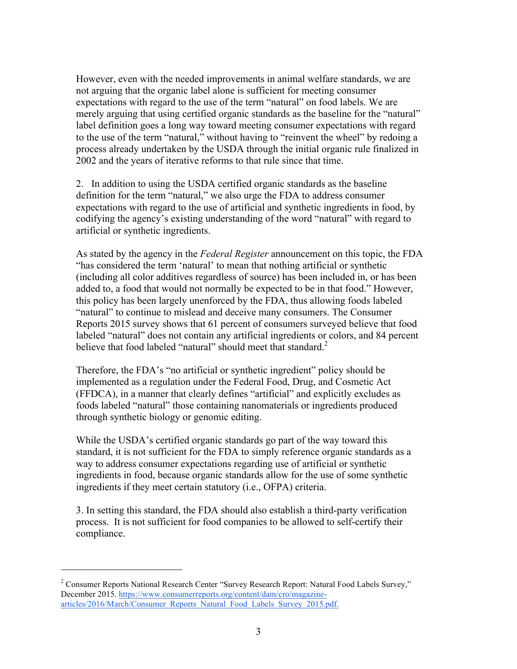However, even with the needed improvements in animal welfare standards, we are not arguing that the organic label alone is sufficient for meeting consumer expectations with regard to the use of the term "natural" on food labels. We are merely arguing that using certified organic standards as the baseline for the "natural" label definition goes a long way toward meeting consumer expectations with regard to the use of the term "natural," without having to "reinvent the wheel" by redoing a process already undertaken by the USDA through the initial organic rule finalized in 2002 and the years of iterative reforms to that rule since that time.

2. In addition to using the USDA certified organic standards as the baseline definition for the term "natural," we also urge the FDA to address consumer expectations with regard to the use of artificial and synthetic ingredients in food, by codifying the agency's existing understanding of the word "natural" with regard to artificial or synthetic ingredients.

As stated by the agency in the *Federal Register* announcement on this topic, the FDA "has considered the term 'natural' to mean that nothing artificial or synthetic (including all color additives regardless of source) has been included in, or has been added to, a food that would not normally be expected to be in that food." However, this policy has been largely unenforced by the FDA, thus allowing foods labeled "natural" to continue to mislead and deceive many consumers. The Consumer Reports 2015 survey shows that 61 percent of consumers surveyed believe that food labeled "natural" does not contain any artificial ingredients or colors, and 84 percent believe that food labeled "natural" should meet that standard.<sup>2</sup>

Therefore, the FDA's "no artificial or synthetic ingredient" policy should be implemented as a regulation under the Federal Food, Drug, and Cosmetic Act (FFDCA), in a manner that clearly defines "artificial" and explicitly excludes as foods labeled "natural" those containing nanomaterials or ingredients produced through synthetic biology or genomic editing.

While the USDA's certified organic standards go part of the way toward this standard, it is not sufficient for the FDA to simply reference organic standards as a way to address consumer expectations regarding use of artificial or synthetic ingredients in food, because organic standards allow for the use of some synthetic ingredients if they meet certain statutory (i.e., OFPA) criteria.

3. In setting this standard, the FDA should also establish a third-party verification process. It is not sufficient for food companies to be allowed to self-certify their compliance.

<sup>&</sup>lt;sup>2</sup> Consumer Reports National Research Center "Survey Research Report: Natural Food Labels Survey," December 2015. https://www.consumerreports.org/content/dam/cro/magazinearticles/2016/March/Consumer\_Reports\_Natural\_Food\_Labels\_Survey\_2015.pdf.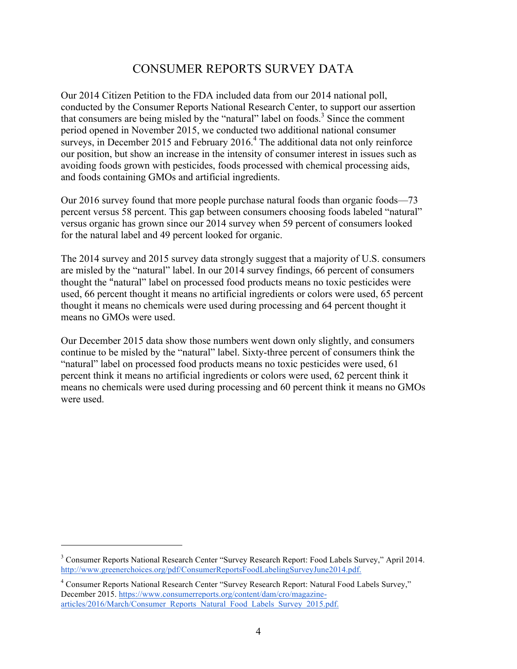# CONSUMER REPORTS SURVEY DATA

Our 2014 Citizen Petition to the FDA included data from our 2014 national poll, conducted by the Consumer Reports National Research Center, to support our assertion that consumers are being misled by the "natural" label on foods.<sup>3</sup> Since the comment period opened in November 2015, we conducted two additional national consumer surveys, in December 2015 and February 2016.<sup>4</sup> The additional data not only reinforce our position, but show an increase in the intensity of consumer interest in issues such as avoiding foods grown with pesticides, foods processed with chemical processing aids, and foods containing GMOs and artificial ingredients.

Our 2016 survey found that more people purchase natural foods than organic foods—73 percent versus 58 percent. This gap between consumers choosing foods labeled "natural" versus organic has grown since our 2014 survey when 59 percent of consumers looked for the natural label and 49 percent looked for organic.

The 2014 survey and 2015 survey data strongly suggest that a majority of U.S. consumers are misled by the "natural" label. In our 2014 survey findings, 66 percent of consumers thought the "natural" label on processed food products means no toxic pesticides were used, 66 percent thought it means no artificial ingredients or colors were used, 65 percent thought it means no chemicals were used during processing and 64 percent thought it means no GMOs were used.

Our December 2015 data show those numbers went down only slightly, and consumers continue to be misled by the "natural" label. Sixty-three percent of consumers think the "natural" label on processed food products means no toxic pesticides were used, 61 percent think it means no artificial ingredients or colors were used, 62 percent think it means no chemicals were used during processing and 60 percent think it means no GMOs were used.

<sup>3</sup> Consumer Reports National Research Center "Survey Research Report: Food Labels Survey," April 2014. http://www.greenerchoices.org/pdf/ConsumerReportsFoodLabelingSurveyJune2014.pdf.

<sup>4</sup> Consumer Reports National Research Center "Survey Research Report: Natural Food Labels Survey," December 2015. https://www.consumerreports.org/content/dam/cro/magazinearticles/2016/March/Consumer\_Reports\_Natural\_Food\_Labels\_Survey\_2015.pdf.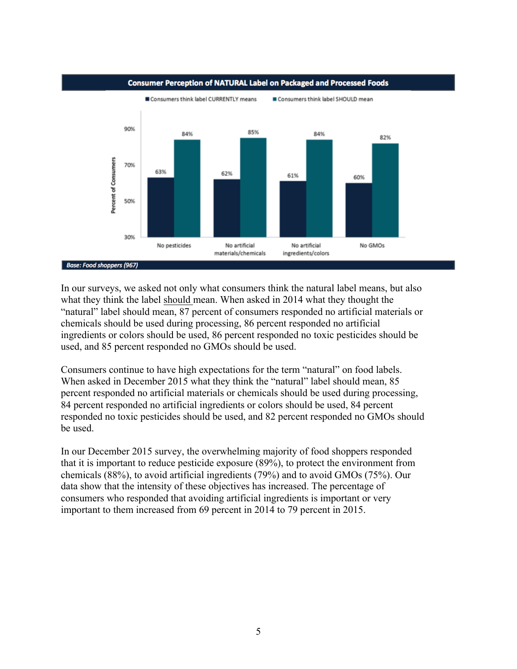

#### **Consumer Perception of NATURAL Label on Packaged and Processed Foods**

#### **Base: Food shoppers (967)**

In our surveys, we asked not only what consumers think the natural label means, but also what they think the label should mean. When asked in 2014 what they thought the "natural" label should mean, 87 percent of consumers responded no artificial materials or chemicals should be used during processing, 86 percent responded no artificial ingredients or colors should be used, 86 percent responded no toxic pesticides should be used, and 85 percent responded no GMOs should be used.

Consumers continue to have high expectations for the term "natural" on food labels. When asked in December 2015 what they think the "natural" label should mean, 85 percent responded no artificial materials or chemicals should be used during processing, 84 percent responded no artificial ingredients or colors should be used, 84 percent responded no toxic pesticides should be used, and 82 percent responded no GMOs should be used.

In our December 2015 survey, the overwhelming majority of food shoppers responded that it is important to reduce pesticide exposure (89%), to protect the environment from chemicals (88%), to avoid artificial ingredients (79%) and to avoid GMOs (75%). Our data show that the intensity of these objectives has increased. The percentage of consumers who responded that avoiding artificial ingredients is important or very important to them increased from 69 percent in 2014 to 79 percent in 2015.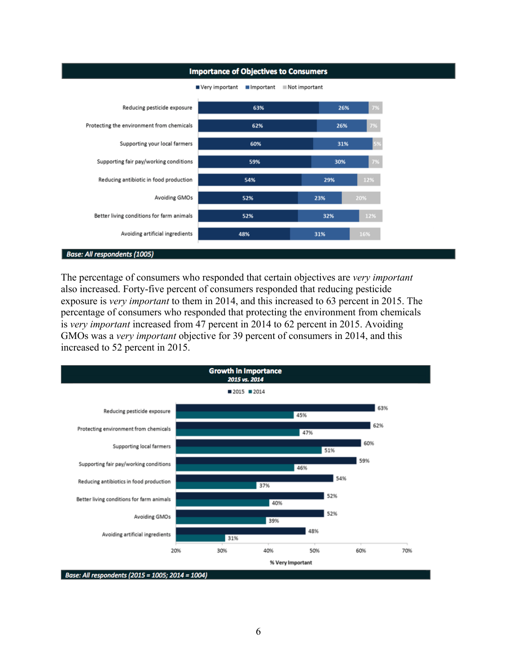

The percentage of consumers who responded that certain objectives are *very important* also increased. Forty-five percent of consumers responded that reducing pesticide exposure is *very important* to them in 2014, and this increased to 63 percent in 2015. The percentage of consumers who responded that protecting the environment from chemicals is *very important* increased from 47 percent in 2014 to 62 percent in 2015. Avoiding GMOs was a *very important* objective for 39 percent of consumers in 2014, and this increased to 52 percent in 2015.

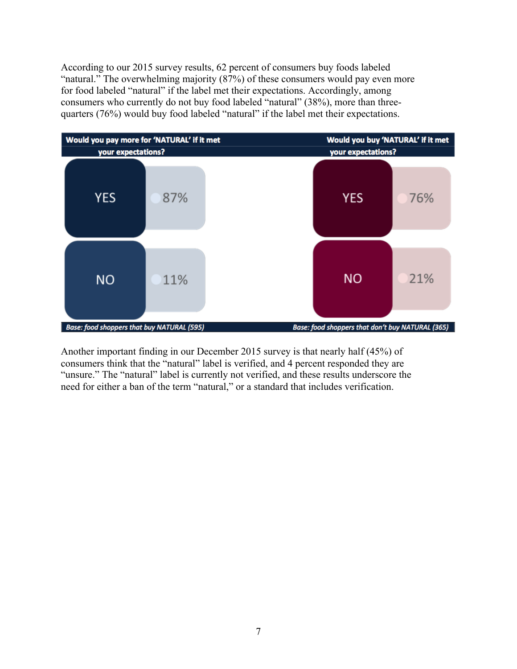According to our 2015 survey results, 62 percent of consumers buy foods labeled "natural." The overwhelming majority (87%) of these consumers would pay even more for food labeled "natural" if the label met their expectations. Accordingly, among consumers who currently do not buy food labeled "natural" (38%), more than threequarters (76%) would buy food labeled "natural" if the label met their expectations.



Another important finding in our December 2015 survey is that nearly half (45%) of consumers think that the "natural" label is verified, and 4 percent responded they are "unsure." The "natural" label is currently not verified, and these results underscore the need for either a ban of the term "natural," or a standard that includes verification.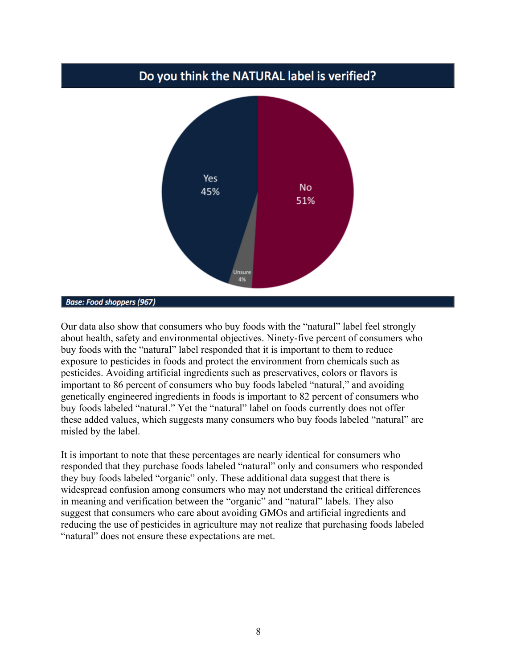## Do you think the NATURAL label is verified?



#### **Base: Food shoppers (967)**

Our data also show that consumers who buy foods with the "natural" label feel strongly about health, safety and environmental objectives. Ninety-five percent of consumers who buy foods with the "natural" label responded that it is important to them to reduce exposure to pesticides in foods and protect the environment from chemicals such as pesticides. Avoiding artificial ingredients such as preservatives, colors or flavors is important to 86 percent of consumers who buy foods labeled "natural," and avoiding genetically engineered ingredients in foods is important to 82 percent of consumers who buy foods labeled "natural." Yet the "natural" label on foods currently does not offer these added values, which suggests many consumers who buy foods labeled "natural" are misled by the label.

It is important to note that these percentages are nearly identical for consumers who responded that they purchase foods labeled "natural" only and consumers who responded they buy foods labeled "organic" only. These additional data suggest that there is widespread confusion among consumers who may not understand the critical differences in meaning and verification between the "organic" and "natural" labels. They also suggest that consumers who care about avoiding GMOs and artificial ingredients and reducing the use of pesticides in agriculture may not realize that purchasing foods labeled "natural" does not ensure these expectations are met.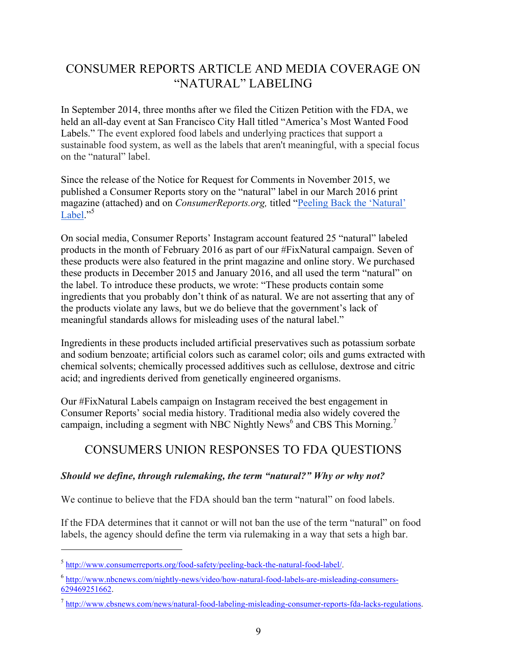# CONSUMER REPORTS ARTICLE AND MEDIA COVERAGE ON "NATURAL" LABELING

In September 2014, three months after we filed the Citizen Petition with the FDA, we held an all-day event at San Francisco City Hall titled "America's Most Wanted Food Labels." The event explored food labels and underlying practices that support a sustainable food system, as well as the labels that aren't meaningful, with a special focus on the "natural" label.

Since the release of the Notice for Request for Comments in November 2015, we published a Consumer Reports story on the "natural" label in our March 2016 print magazine (attached) and on *ConsumerReports.org,* titled "Peeling Back the 'Natural' Label."<sup>5</sup>

On social media, Consumer Reports' Instagram account featured 25 "natural" labeled products in the month of February 2016 as part of our #FixNatural campaign. Seven of these products were also featured in the print magazine and online story. We purchased these products in December 2015 and January 2016, and all used the term "natural" on the label. To introduce these products, we wrote: "These products contain some ingredients that you probably don't think of as natural. We are not asserting that any of the products violate any laws, but we do believe that the government's lack of meaningful standards allows for misleading uses of the natural label."

Ingredients in these products included artificial preservatives such as potassium sorbate and sodium benzoate; artificial colors such as caramel color; oils and gums extracted with chemical solvents; chemically processed additives such as cellulose, dextrose and citric acid; and ingredients derived from genetically engineered organisms.

Our #FixNatural Labels campaign on Instagram received the best engagement in Consumer Reports' social media history. Traditional media also widely covered the campaign, including a segment with NBC Nightly News<sup>6</sup> and CBS This Morning.<sup>7</sup>

# CONSUMERS UNION RESPONSES TO FDA QUESTIONS

### *Should we define, through rulemaking, the term "natural?" Why or why not?*

We continue to believe that the FDA should ban the term "natural" on food labels.

If the FDA determines that it cannot or will not ban the use of the term "natural" on food labels, the agency should define the term via rulemaking in a way that sets a high bar.

<sup>5</sup> http://www.consumerreports.org/food-safety/peeling-back-the-natural-food-label/.

<sup>6</sup> http://www.nbcnews.com/nightly-news/video/how-natural-food-labels-are-misleading-consumers-629469251662.

<sup>7</sup> http://www.cbsnews.com/news/natural-food-labeling-misleading-consumer-reports-fda-lacks-regulations.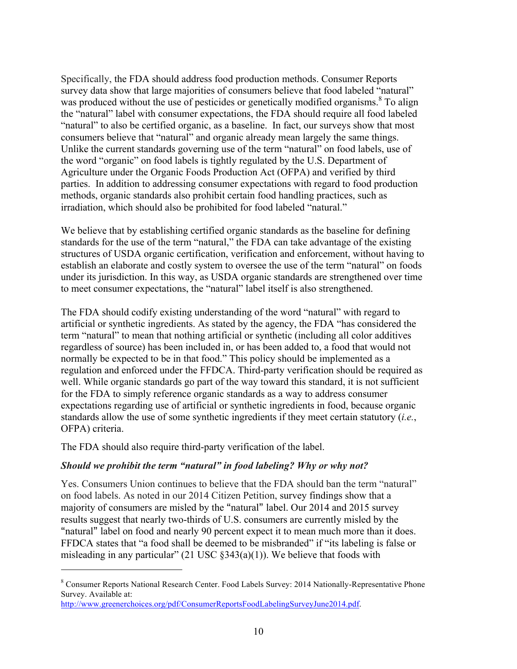Specifically, the FDA should address food production methods. Consumer Reports survey data show that large majorities of consumers believe that food labeled "natural" was produced without the use of pesticides or genetically modified organisms.<sup>8</sup> To align the "natural" label with consumer expectations, the FDA should require all food labeled "natural" to also be certified organic, as a baseline. In fact, our surveys show that most consumers believe that "natural" and organic already mean largely the same things. Unlike the current standards governing use of the term "natural" on food labels, use of the word "organic" on food labels is tightly regulated by the U.S. Department of Agriculture under the Organic Foods Production Act (OFPA) and verified by third parties. In addition to addressing consumer expectations with regard to food production methods, organic standards also prohibit certain food handling practices, such as irradiation, which should also be prohibited for food labeled "natural."

We believe that by establishing certified organic standards as the baseline for defining standards for the use of the term "natural," the FDA can take advantage of the existing structures of USDA organic certification, verification and enforcement, without having to establish an elaborate and costly system to oversee the use of the term "natural" on foods under its jurisdiction. In this way, as USDA organic standards are strengthened over time to meet consumer expectations, the "natural" label itself is also strengthened.

The FDA should codify existing understanding of the word "natural" with regard to artificial or synthetic ingredients. As stated by the agency, the FDA "has considered the term "natural" to mean that nothing artificial or synthetic (including all color additives regardless of source) has been included in, or has been added to, a food that would not normally be expected to be in that food." This policy should be implemented as a regulation and enforced under the FFDCA. Third-party verification should be required as well. While organic standards go part of the way toward this standard, it is not sufficient for the FDA to simply reference organic standards as a way to address consumer expectations regarding use of artificial or synthetic ingredients in food, because organic standards allow the use of some synthetic ingredients if they meet certain statutory (*i.e.*, OFPA) criteria.

The FDA should also require third-party verification of the label.

 $\overline{a}$ 

### *Should we prohibit the term "natural" in food labeling? Why or why not?*

Yes. Consumers Union continues to believe that the FDA should ban the term "natural" on food labels. As noted in our 2014 Citizen Petition, survey findings show that a majority of consumers are misled by the "natural" label. Our 2014 and 2015 survey results suggest that nearly two-thirds of U.S. consumers are currently misled by the "natural" label on food and nearly 90 percent expect it to mean much more than it does. FFDCA states that "a food shall be deemed to be misbranded" if "its labeling is false or misleading in any particular" (21 USC  $\S 343(a)(1)$ ). We believe that foods with

<sup>&</sup>lt;sup>8</sup> Consumer Reports National Research Center. Food Labels Survey: 2014 Nationally-Representative Phone Survey. Available at:

http://www.greenerchoices.org/pdf/ConsumerReportsFoodLabelingSurveyJune2014.pdf.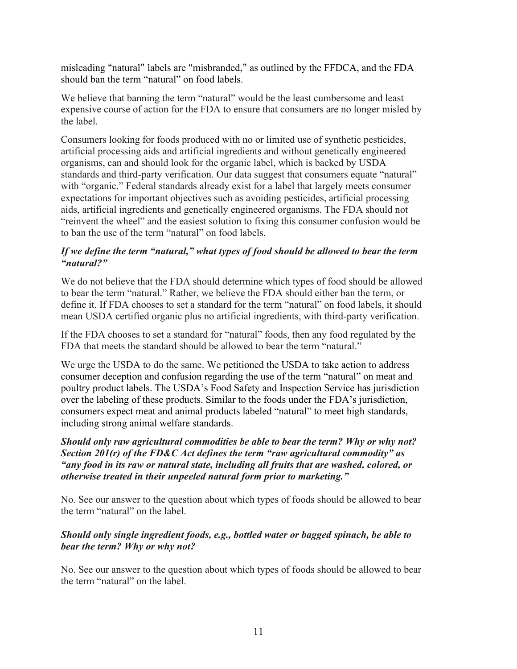misleading "natural" labels are "misbranded," as outlined by the FFDCA, and the FDA should ban the term "natural" on food labels.

We believe that banning the term "natural" would be the least cumbersome and least expensive course of action for the FDA to ensure that consumers are no longer misled by the label.

Consumers looking for foods produced with no or limited use of synthetic pesticides, artificial processing aids and artificial ingredients and without genetically engineered organisms, can and should look for the organic label, which is backed by USDA standards and third-party verification. Our data suggest that consumers equate "natural" with "organic." Federal standards already exist for a label that largely meets consumer expectations for important objectives such as avoiding pesticides, artificial processing aids, artificial ingredients and genetically engineered organisms. The FDA should not "reinvent the wheel" and the easiest solution to fixing this consumer confusion would be to ban the use of the term "natural" on food labels.

#### *If we define the term "natural," what types of food should be allowed to bear the term "natural?"*

We do not believe that the FDA should determine which types of food should be allowed to bear the term "natural." Rather, we believe the FDA should either ban the term, or define it. If FDA chooses to set a standard for the term "natural" on food labels, it should mean USDA certified organic plus no artificial ingredients, with third-party verification.

If the FDA chooses to set a standard for "natural" foods, then any food regulated by the FDA that meets the standard should be allowed to bear the term "natural."

We urge the USDA to do the same. We petitioned the USDA to take action to address consumer deception and confusion regarding the use of the term "natural" on meat and poultry product labels. The USDA's Food Safety and Inspection Service has jurisdiction over the labeling of these products. Similar to the foods under the FDA's jurisdiction, consumers expect meat and animal products labeled "natural" to meet high standards, including strong animal welfare standards.

### *Should only raw agricultural commodities be able to bear the term? Why or why not? Section 201(r) of the FD&C Act defines the term "raw agricultural commodity" as "any food in its raw or natural state, including all fruits that are washed, colored, or otherwise treated in their unpeeled natural form prior to marketing."*

No. See our answer to the question about which types of foods should be allowed to bear the term "natural" on the label.

### *Should only single ingredient foods, e.g., bottled water or bagged spinach, be able to bear the term? Why or why not?*

No. See our answer to the question about which types of foods should be allowed to bear the term "natural" on the label.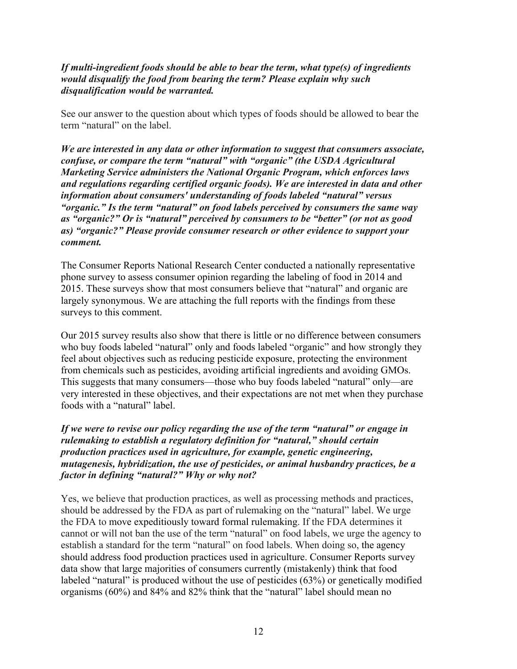#### *If multi-ingredient foods should be able to bear the term, what type(s) of ingredients would disqualify the food from bearing the term? Please explain why such disqualification would be warranted.*

See our answer to the question about which types of foods should be allowed to bear the term "natural" on the label.

*We are interested in any data or other information to suggest that consumers associate, confuse, or compare the term "natural" with "organic" (the USDA Agricultural Marketing Service administers the National Organic Program, which enforces laws and regulations regarding certified organic foods). We are interested in data and other information about consumers' understanding of foods labeled "natural" versus "organic." Is the term "natural" on food labels perceived by consumers the same way as "organic?" Or is "natural" perceived by consumers to be "better" (or not as good as) "organic?" Please provide consumer research or other evidence to support your comment.*

The Consumer Reports National Research Center conducted a nationally representative phone survey to assess consumer opinion regarding the labeling of food in 2014 and 2015. These surveys show that most consumers believe that "natural" and organic are largely synonymous. We are attaching the full reports with the findings from these surveys to this comment.

Our 2015 survey results also show that there is little or no difference between consumers who buy foods labeled "natural" only and foods labeled "organic" and how strongly they feel about objectives such as reducing pesticide exposure, protecting the environment from chemicals such as pesticides, avoiding artificial ingredients and avoiding GMOs. This suggests that many consumers—those who buy foods labeled "natural" only—are very interested in these objectives, and their expectations are not met when they purchase foods with a "natural" label.

#### *If we were to revise our policy regarding the use of the term "natural" or engage in rulemaking to establish a regulatory definition for "natural," should certain production practices used in agriculture, for example, genetic engineering, mutagenesis, hybridization, the use of pesticides, or animal husbandry practices, be a factor in defining "natural?" Why or why not?*

Yes, we believe that production practices, as well as processing methods and practices, should be addressed by the FDA as part of rulemaking on the "natural" label. We urge the FDA to move expeditiously toward formal rulemaking. If the FDA determines it cannot or will not ban the use of the term "natural" on food labels, we urge the agency to establish a standard for the term "natural" on food labels. When doing so, the agency should address food production practices used in agriculture. Consumer Reports survey data show that large majorities of consumers currently (mistakenly) think that food labeled "natural" is produced without the use of pesticides (63%) or genetically modified organisms (60%) and 84% and 82% think that the "natural" label should mean no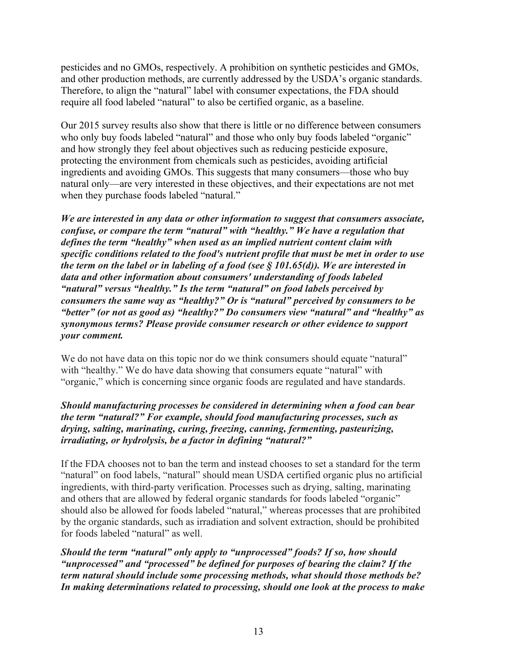pesticides and no GMOs, respectively. A prohibition on synthetic pesticides and GMOs, and other production methods, are currently addressed by the USDA's organic standards. Therefore, to align the "natural" label with consumer expectations, the FDA should require all food labeled "natural" to also be certified organic, as a baseline.

Our 2015 survey results also show that there is little or no difference between consumers who only buy foods labeled "natural" and those who only buy foods labeled "organic" and how strongly they feel about objectives such as reducing pesticide exposure, protecting the environment from chemicals such as pesticides, avoiding artificial ingredients and avoiding GMOs. This suggests that many consumers—those who buy natural only—are very interested in these objectives, and their expectations are not met when they purchase foods labeled "natural."

*We are interested in any data or other information to suggest that consumers associate, confuse, or compare the term "natural" with "healthy." We have a regulation that defines the term "healthy" when used as an implied nutrient content claim with specific conditions related to the food's nutrient profile that must be met in order to use the term on the label or in labeling of a food (see § 101.65(d)). We are interested in data and other information about consumers' understanding of foods labeled "natural" versus "healthy." Is the term "natural" on food labels perceived by consumers the same way as "healthy?" Or is "natural" perceived by consumers to be "better" (or not as good as) "healthy?" Do consumers view "natural" and "healthy" as synonymous terms? Please provide consumer research or other evidence to support your comment.*

We do not have data on this topic nor do we think consumers should equate "natural" with "healthy." We do have data showing that consumers equate "natural" with "organic," which is concerning since organic foods are regulated and have standards.

#### *Should manufacturing processes be considered in determining when a food can bear the term "natural?" For example, should food manufacturing processes, such as drying, salting, marinating, curing, freezing, canning, fermenting, pasteurizing, irradiating, or hydrolysis, be a factor in defining "natural?"*

If the FDA chooses not to ban the term and instead chooses to set a standard for the term "natural" on food labels, "natural" should mean USDA certified organic plus no artificial ingredients, with third-party verification. Processes such as drying, salting, marinating and others that are allowed by federal organic standards for foods labeled "organic" should also be allowed for foods labeled "natural," whereas processes that are prohibited by the organic standards, such as irradiation and solvent extraction, should be prohibited for foods labeled "natural" as well.

*Should the term "natural" only apply to "unprocessed" foods? If so, how should "unprocessed" and "processed" be defined for purposes of bearing the claim? If the term natural should include some processing methods, what should those methods be? In making determinations related to processing, should one look at the process to make*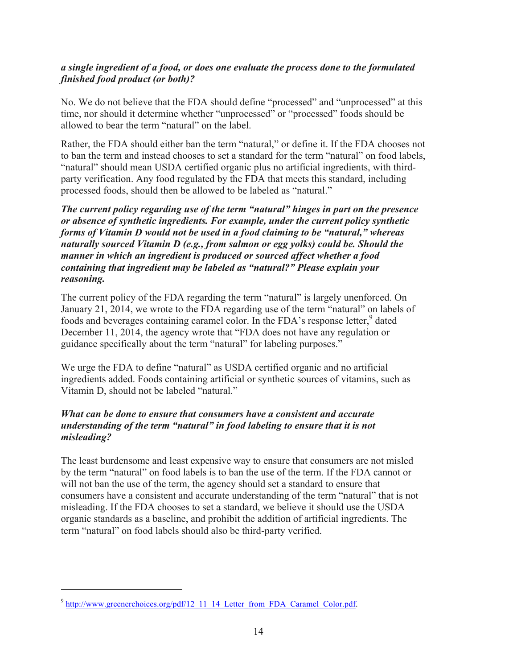### *a single ingredient of a food, or does one evaluate the process done to the formulated finished food product (or both)?*

No. We do not believe that the FDA should define "processed" and "unprocessed" at this time, nor should it determine whether "unprocessed" or "processed" foods should be allowed to bear the term "natural" on the label.

Rather, the FDA should either ban the term "natural," or define it. If the FDA chooses not to ban the term and instead chooses to set a standard for the term "natural" on food labels, "natural" should mean USDA certified organic plus no artificial ingredients, with thirdparty verification. Any food regulated by the FDA that meets this standard, including processed foods, should then be allowed to be labeled as "natural."

*The current policy regarding use of the term "natural" hinges in part on the presence or absence of synthetic ingredients. For example, under the current policy synthetic forms of Vitamin D would not be used in a food claiming to be "natural," whereas naturally sourced Vitamin D (e.g., from salmon or egg yolks) could be. Should the manner in which an ingredient is produced or sourced affect whether a food containing that ingredient may be labeled as "natural?" Please explain your reasoning.*

The current policy of the FDA regarding the term "natural" is largely unenforced. On January 21, 2014, we wrote to the FDA regarding use of the term "natural" on labels of foods and beverages containing caramel color. In the FDA's response letter,<sup>9</sup> dated December 11, 2014, the agency wrote that "FDA does not have any regulation or guidance specifically about the term "natural" for labeling purposes."

We urge the FDA to define "natural" as USDA certified organic and no artificial ingredients added. Foods containing artificial or synthetic sources of vitamins, such as Vitamin D, should not be labeled "natural."

### *What can be done to ensure that consumers have a consistent and accurate understanding of the term "natural" in food labeling to ensure that it is not misleading?*

The least burdensome and least expensive way to ensure that consumers are not misled by the term "natural" on food labels is to ban the use of the term. If the FDA cannot or will not ban the use of the term, the agency should set a standard to ensure that consumers have a consistent and accurate understanding of the term "natural" that is not misleading. If the FDA chooses to set a standard, we believe it should use the USDA organic standards as a baseline, and prohibit the addition of artificial ingredients. The term "natural" on food labels should also be third-party verified.

<sup>&</sup>lt;sup>9</sup> http://www.greenerchoices.org/pdf/12\_11\_14\_Letter\_from\_FDA\_Caramel\_Color.pdf.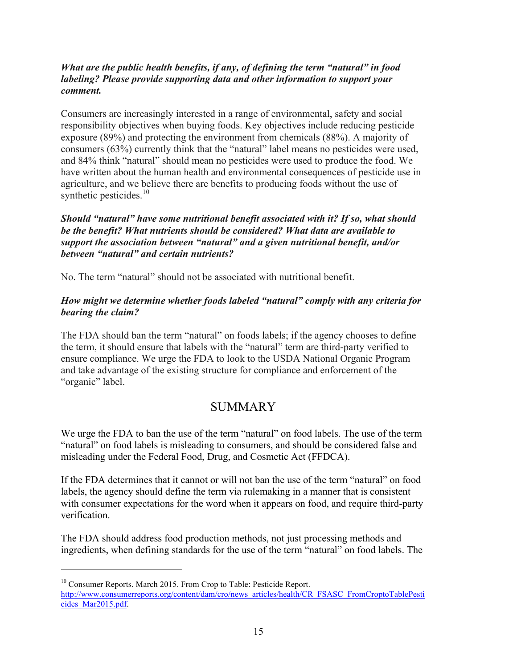#### *What are the public health benefits, if any, of defining the term "natural" in food labeling? Please provide supporting data and other information to support your comment.*

Consumers are increasingly interested in a range of environmental, safety and social responsibility objectives when buying foods. Key objectives include reducing pesticide exposure (89%) and protecting the environment from chemicals (88%). A majority of consumers (63%) currently think that the "natural" label means no pesticides were used, and 84% think "natural" should mean no pesticides were used to produce the food. We have written about the human health and environmental consequences of pesticide use in agriculture, and we believe there are benefits to producing foods without the use of synthetic pesticides. $10$ 

*Should "natural" have some nutritional benefit associated with it? If so, what should be the benefit? What nutrients should be considered? What data are available to support the association between "natural" and a given nutritional benefit, and/or between "natural" and certain nutrients?*

No. The term "natural" should not be associated with nutritional benefit.

### *How might we determine whether foods labeled "natural" comply with any criteria for bearing the claim?*

The FDA should ban the term "natural" on foods labels; if the agency chooses to define the term, it should ensure that labels with the "natural" term are third-party verified to ensure compliance. We urge the FDA to look to the USDA National Organic Program and take advantage of the existing structure for compliance and enforcement of the "organic" label.

### **SUMMARY**

We urge the FDA to ban the use of the term "natural" on food labels. The use of the term "natural" on food labels is misleading to consumers, and should be considered false and misleading under the Federal Food, Drug, and Cosmetic Act (FFDCA).

If the FDA determines that it cannot or will not ban the use of the term "natural" on food labels, the agency should define the term via rulemaking in a manner that is consistent with consumer expectations for the word when it appears on food, and require third-party verification.

The FDA should address food production methods, not just processing methods and ingredients, when defining standards for the use of the term "natural" on food labels. The

<sup>&</sup>lt;sup>10</sup> Consumer Reports. March 2015. From Crop to Table: Pesticide Report. http://www.consumerreports.org/content/dam/cro/news\_articles/health/CR\_FSASC\_FromCroptoTablePesti cides\_Mar2015.pdf.